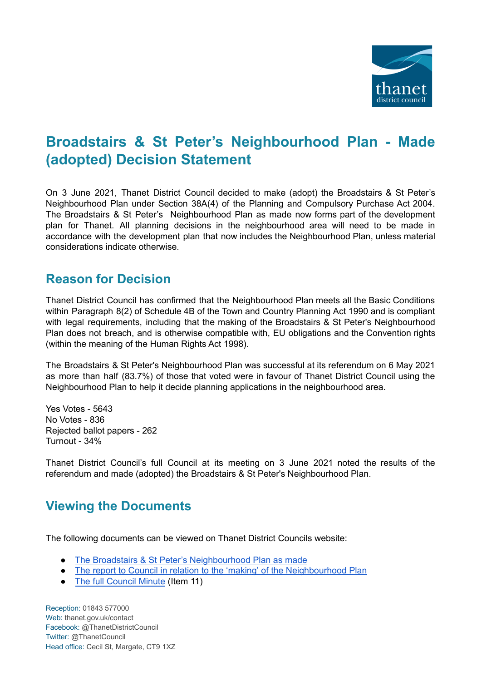

## **Broadstairs & St Peter's Neighbourhood Plan - Made (adopted) Decision Statement**

On 3 June 2021, Thanet District Council decided to make (adopt) the Broadstairs & St Peter's Neighbourhood Plan under Section 38A(4) of the Planning and Compulsory Purchase Act 2004. The Broadstairs & St Peter's Neighbourhood Plan as made now forms part of the development plan for Thanet. All planning decisions in the neighbourhood area will need to be made in accordance with the development plan that now includes the Neighbourhood Plan, unless material considerations indicate otherwise.

## **Reason for Decision**

Thanet District Council has confirmed that the Neighbourhood Plan meets all the Basic Conditions within Paragraph 8(2) of Schedule 4B of the Town and Country Planning Act 1990 and is compliant with legal requirements, including that the making of the Broadstairs & St Peter's Neighbourhood Plan does not breach, and is otherwise compatible with, EU obligations and the Convention rights (within the meaning of the Human Rights Act 1998).

The Broadstairs & St Peter's Neighbourhood Plan was successful at its referendum on 6 May 2021 as more than half (83.7%) of those that voted were in favour of Thanet District Council using the Neighbourhood Plan to help it decide planning applications in the neighbourhood area.

Yes Votes - 5643 No Votes - 836 Rejected ballot papers - 262 Turnout - 34%

Thanet District Council's full Council at its meeting on 3 June 2021 noted the results of the referendum and made (adopted) the Broadstairs & St Peter's Neighbourhood Plan.

## **Viewing the Documents**

The following documents can be viewed on Thanet District Councils website:

- The Broadstairs & St Peter's [Neighbourhood](https://www.thanet.gov.uk/wp-content/uploads/2021/05/NDP-Made-version-1-1.pdf) Plan as made
- The report to Council in relation to the 'making' of the [Neighbourhood](https://democracy.thanet.gov.uk/documents/s72575/Broadstairs-_-St-Peters-Neighbourhood-Plan-Referendum-Version-05082020.pdf) Plan
- The full [Council](https://democracy.thanet.gov.uk/ieListDocuments.aspx?CId=141&MId=5967&Ver=4) Minute (Item 11)

Reception: 01843 577000 Web: thanet.gov.uk/contact Facebook: @ThanetDistrictCouncil Twitter: @ThanetCouncil Head office: Cecil St, Margate, CT9 1XZ